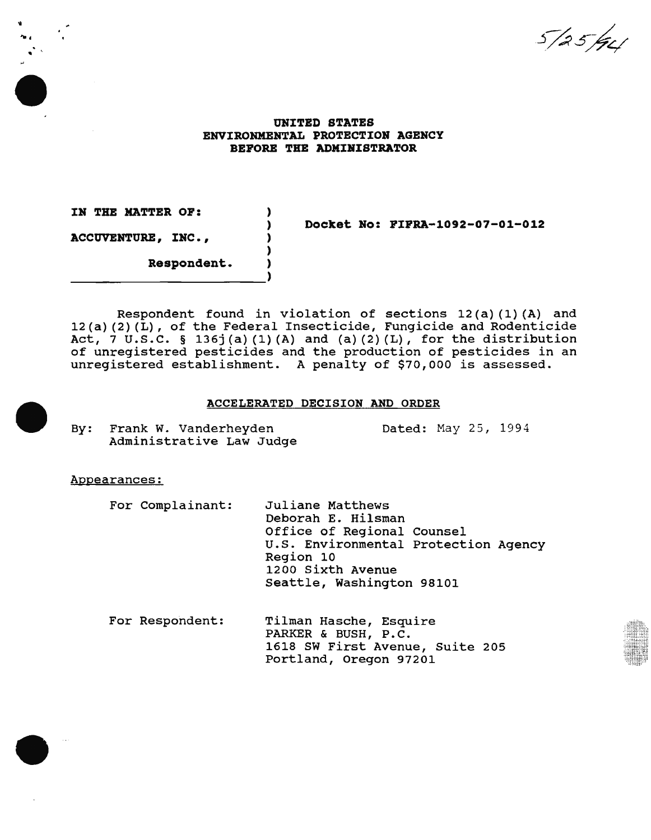5/25/94

## UNITED STATES ENVIRONMENTAL PROTECTION AGENCY BEFORE THE ADMINISTRATOR

) ) ) ) )

IN THE HATTER OP: ACCUVENTURE, INC.,

II .... ..

Docket No: PIPRA-1092-07-01-012

Respondent.

Respondent found in violation of sections 12(a)(1)(A) and 12(a) (2) (L), of the Federal Insecticide, Fungicide and Rodenticide Act, 7 U.S.C. § 136j(a)(1)(A) and (a)(2)(L), for the distribution of unregistered pesticides and the production of pesticides in an unregistered establishment. A penalty of \$70,000 is assessed.

#### ACCELERATED DECISION AND ORDER

By: Frank W. Vanderheyden Administrative Law Judge Dated: May 25, 1994

Appearances:

For Complainant: Juliane Matthews Deborah E. Hilsman Office of Regional Counsel u.s. Environmental Protection Agency Region 10 1200 Sixth Avenue Seattle, Washington 98101

For Respondent: Tilman Hasche, Esquire PARKER & BUSH, P.C. 1618 SW First Avenue, Suite 205 Portland, Oregon 97201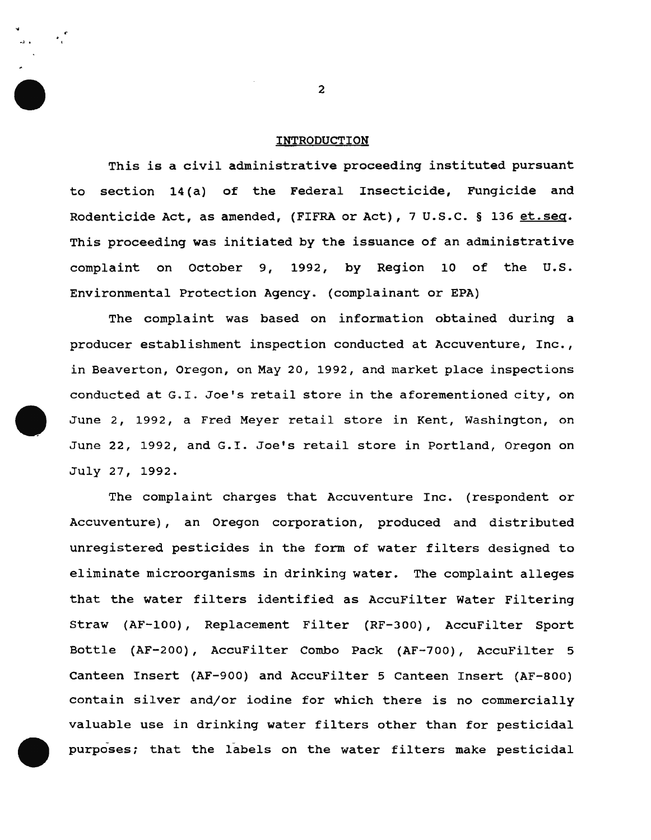#### INTRODUCTION

This is a civil administrative proceeding instituted pursuant to section 14(a) of the Federal Insecticide, Fungicide and Rodenticide Act, as amended, (FIFRA or Act), 7 U.S.C. § 136 et.seq. This proceeding was initiated by the issuance of an administrative complaint on october 9, 1992, by Region 10 of the U.S. Environmental Protection Agency. (complainant or EPA)

The complaint was based on information obtained during a producer establishment inspection conducted at Accuventure, Inc., in Beaverton, Oregon, on May 20, 1992, and market place inspections conducted at G.I. Joe's retail store in the aforementioned city, on June 2, 1992, a Fred Meyer retail store in Kent, Washington, on June 22, 1992, and G.I. Joe's retail store in Portland, Oregon on July 27, 1992.

The complaint charges that Accuventure Inc. (respondent or Accuventure), an Oregon corporation, produced and distributed unregistered pesticides in the form of water filters designed to eliminate microorganisms in drinking water. The complaint alleges that the water filters identified as AccuFilter Water Filtering Straw (AF-100), Replacement Filter (RF-300), AccuFilter Sport Bottle (AF-200), AccuFilter Combo Pack (AF-700), AccuFilter 5 Canteen Insert (AF-900) and AccuFilter 5 Canteen Insert (AF-800) contain silver and/or iodine for which there is no commercially valuable use in drinking water filters other than for pesticidal purposes; that the labels on the water filters make pesticidal

2

...l.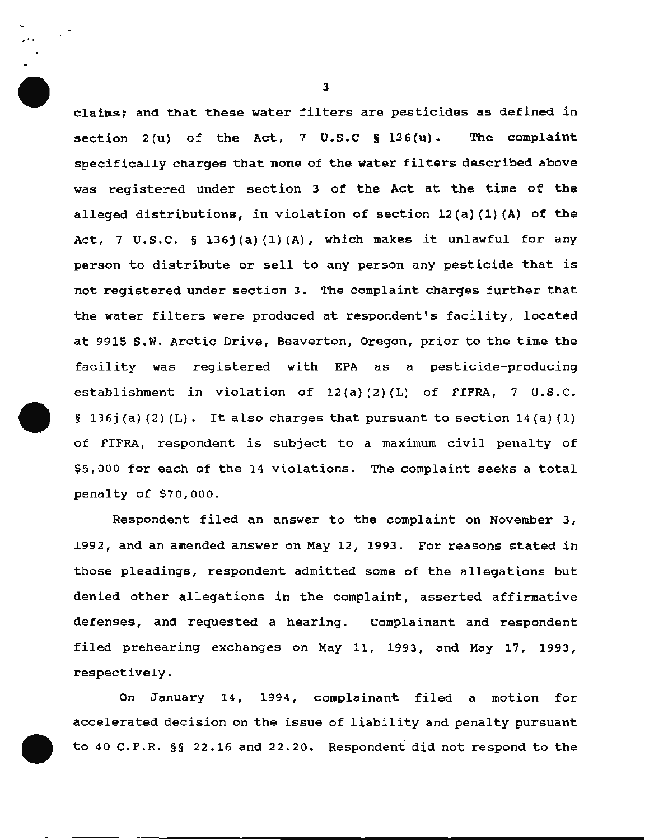claims; and that these water filters are pesticides as defined in section  $2(u)$  of the Act,  $7 \text{ U.S.C }$  § 136 $(u)$ . The complaint specifically charges that none of the water filters described above was registered under section 3 of the Act at the time of the alleged distributions, in violation of section  $12(a) (1) (A)$  of the Act, 7 U.S.C.  $\S$  136j(a)(1)(A), which makes it unlawful for any person to distribute or sell to any person any pesticide that is not registered under section 3. The complaint charges further that the water filters were produced at respondent's facility, located at 9915 s.w. Arctic Drive, Beaverton, Oregon, prior to the time the facility was registered with EPA as a pesticide-producing establishment in violation of 12(a) (2) (L) of FIFRA, 7 U.S.C. § 136 $j(a)$  (2) (L). It also charges that pursuant to section 14(a) (1) of FIFRA, respondent is subject to a maximum civil penalty of \$5,000 for each of the 14 violations. The complaint seeks a total penalty of  $$70,000$ .

Respondent filed an answer to the complaint on November 3, 1992, and an amended answer on May 12, 1993. For reasons stated in those pleadings, respondent admitted some of the allegations but denied other allegations in the complaint, asserted affirmative defenses, and requested a hearing. Complainant and respondent filed prehearing exchanges on May 11, 1993, and May 17, 1993, respectively.

On January 14, 1994, complainant filed a motion for accelerated decision on the issue of liability and penalty pursuant to 40 C.F.R. §§ 22.16 and 22.20. Respondent did not respond to the

3

...

 $\cdot$  ,  $\cdot$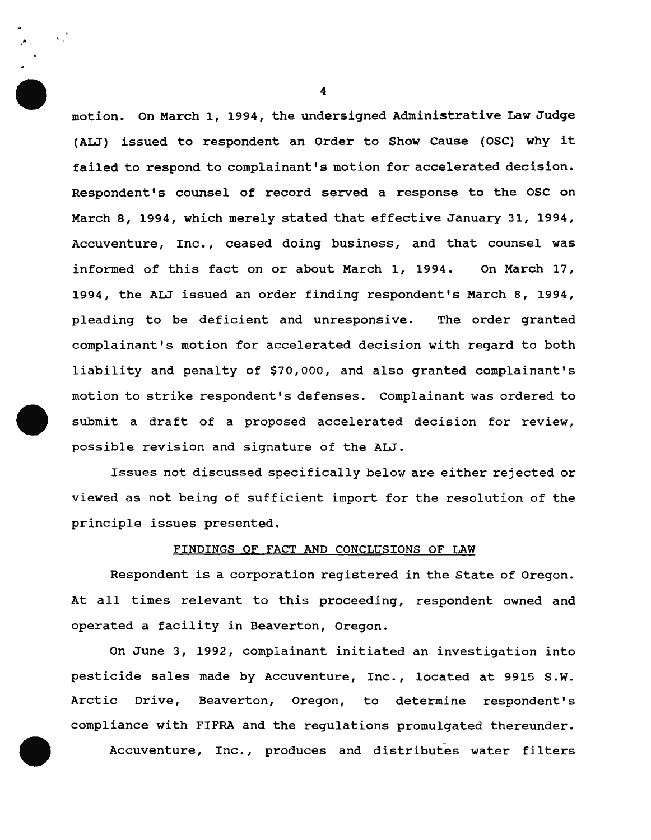motion. On March 1, 1994, the undersigned Administrative Law Judge (ALJ) issued to respondent an Order to Show Cause (OSC) why it failed to respond to complainant's motion for accelerated decision. Respondent's counsel of record served a response to the OSC on March 8, 1994, which merely stated that effective January 31, 1994, Accuventure, Inc., ceased doing business, and that counsel was informed of this fact on or about March 1, 1994. on March 17, 1994, the ALJ issued an order finding respondent's March 8, 1994, pleading to be deficient and unresponsive. The order granted complainant's motion for accelerated decision with regard to both liability and penalty of \$70,000, and also granted complainant's motion to strike respondent's defenses. Complainant was ordered to submit a draft of a proposed accelerated decision for review, possible revision and signature of the ALJ.

Issues not discussed specifically below are either rejected or viewed as not being of sufficient import for the resolution of the principle issues presented.

#### FINDINGS OF FACT AND CONCLUSIONS OF LAW

Respondent is a corporation registered in the State of Oregon. At all times relevant to this proceeding, respondent owned and operated a facility in Beaverton, Oregon.

On June 3, 1992, complainant initiated an investigation into pesticide sales made by Accuventure, Inc., located at 9915 S.W. Arctic Drive, Beaverton, Oregon, to determine respondent's compliance with FIFRA and the regulations promulgated thereunder.

Accuventure, Inc., produces and distributes water filters

4

.• .

 $\mathcal{L}$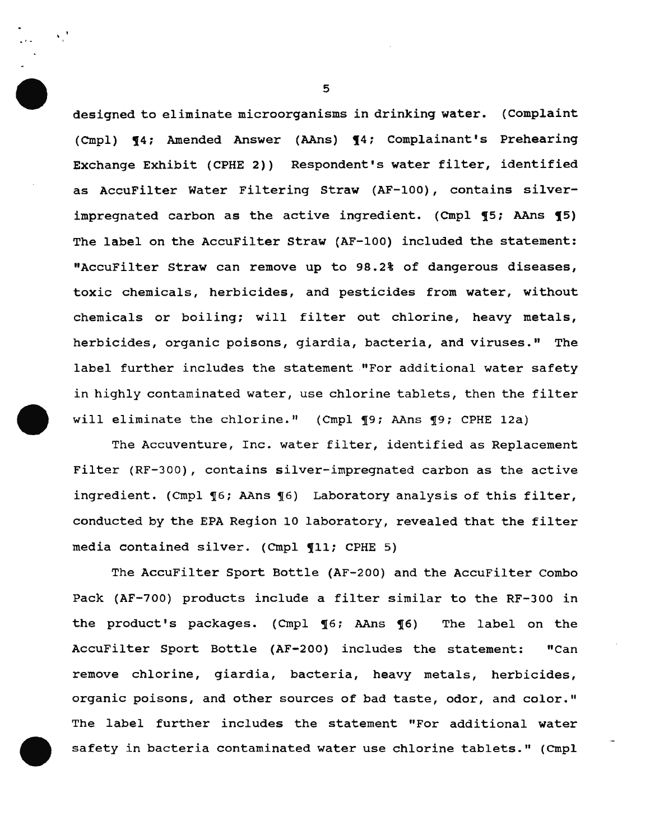designed to eliminate microorganisms in drinking water. (Complaint (Cmpl)  $\P 4$ ; Amended Answer (AAns)  $\P 4$ ; Complainant's Prehearing Exchange Exhibit (CPHE 2)) Respondent's water filter, identified as AccuFilter Water Filtering Straw (AF-100), contains silverimpregnated carbon as the active ingredient. (Cmpl  $\P 5$ ; AAns  $\P 5$ ) The label on the AccuFilter Straw (AF-100) included the statement: "AccuFilter straw can remove up to 98.2% of dangerous diseases, toxic chemicals, herbicides, and pesticides from water, without chemicals or boiling; will filter out chlorine, heavy metals, herbicides, organic poisons, giardia, bacteria, and viruses." The label further includes the statement "For additional water safety in highly contaminated water, use chlorine tablets, then the filter will eliminate the chlorine." (Cmpl ¶9; AAns ¶9; CPHE 12a)

The Accuventure, Inc. water filter, identified as Replacement Filter (RF-300), contains silver-impregnated carbon as the active ingredient. (Cmpl  $\lbrace 6;$  AAns  $\lbrace 6 \rbrace$  Laboratory analysis of this filter, conducted by the EPA Region 10 laboratory, revealed that the filter media contained silver. (Cmpl 11; CPHE 5)

The AccuFilter Sport Bottle (AF-200) and the AccuFilter Combo Pack (AF-700) products include a filter similar to the RF-300 in the product's packages. (Cmpl 16; AAns 16) The label on the AccuFilter Sport Bottle (AF-200) includes the statement: "Can remove chlorine, giardia, bacteria, heavy metals, herbicides, organic poisons, and other sources of bad taste, odor, and color." The label further includes the statement "For additional water safety in bacteria contaminated water use chlorine tablets." (Cmpl

5

 $\sqrt{2}$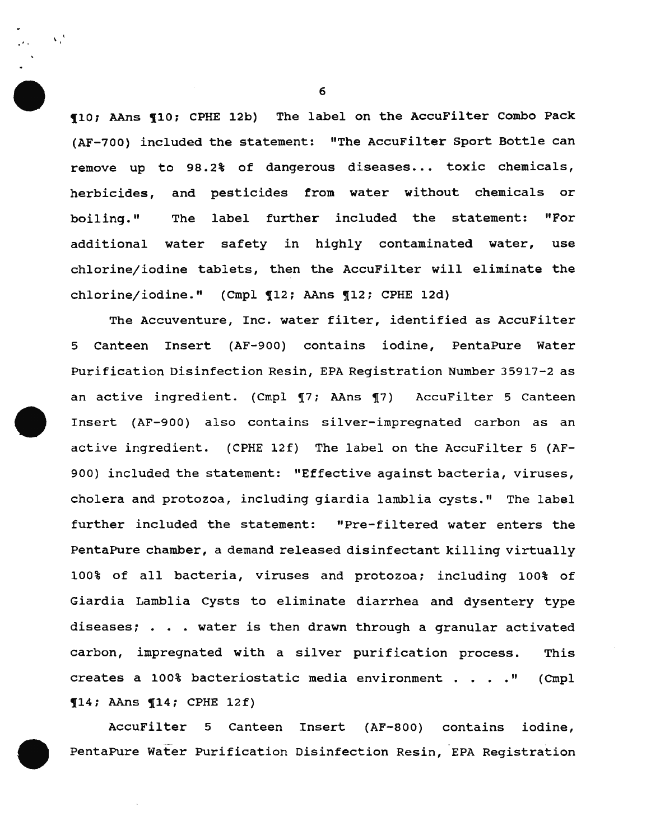10; AAns 10; CPHE 12b) The label on the AccuFilter Combo Pack (AF-700) included the statement: "The AccuFilter Sport Bottle can remove up to 98.2% of dangerous diseases... toxic chemicals, herbicides, and pesticides from water without chemicals or boiling." The label further included the statement: "For additional water safety in highly contaminated water, use chlorine/iodine tablets, then the AccuFilter will eliminate the chlorine/iodine." (Cmpl 112; AAns 112; CPHE 12d)

The Accuventure, Inc. water filter, identified as AccuFilter 5 Canteen Insert (AF-900) contains iodine, PentaPure Water Purification Disinfection Resin, EPA Registration Number 35917-2 as an active ingredient. (Cmpl 17; AAns 17) AccuFilter 5 Canteen Insert (AF-900) also contains silver-impregnated carbon as an active ingredient. (CPHE 12f) The label on the AccuFilter 5 (AF-900) included the statement: "Effective against bacteria, viruses, cholera and protozoa, including giardia lamblia cysts." The label further included the statement: "Pre-filtered water enters the PentaPure chamber, a demand released disinfectant killing virtually 100% of all bacteria, viruses and protozoa: including 100% of Giardia Lamblia cysts to eliminate diarrhea and dysentery type diseases; • water is then drawn through a granular activated carbon, impregnated with a silver purification process. This creates a 100% bacteriostatic media environment . . . . " (Cmpl  $\P14$ ; AAns  $\P14$ ; CPHE 12f)

AccuFilter 5 Canteen Insert (AF-800) contains iodine, - PentaPure Water Purification Disinfection Resin, EPA Registration

6

 $\mathbf{v}$ .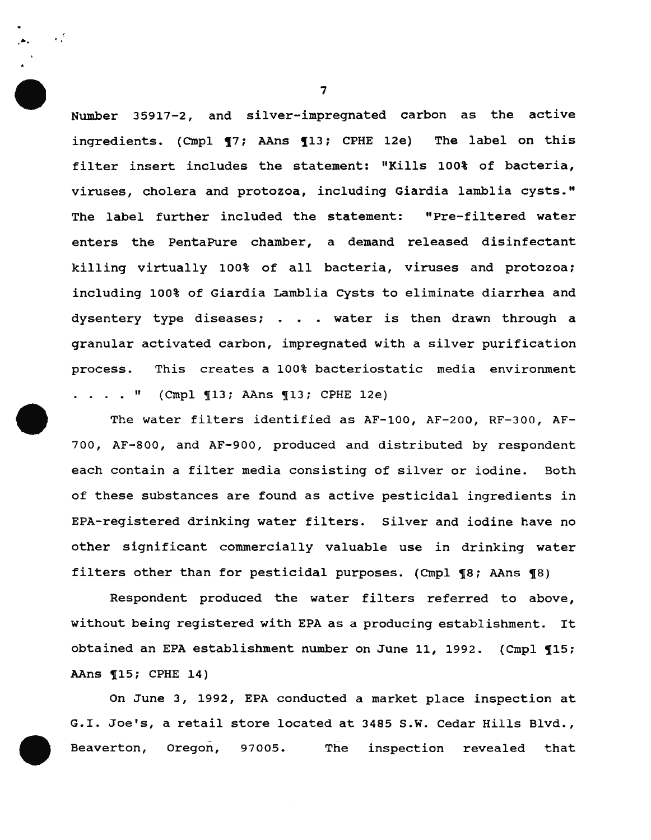Number 35917-2, and silver-impregnated carbon as the active ingredients. (Cmpl **17; AAns 113; CPHE 12e)** The label on this filter insert includes the statement: "Kills 100% of bacteria, viruses, cholera and protozoa, including Giardia lamblia cysts." The label further included the statement: "Pre-filtered water enters the PentaPure chamber, a demand released disinfectant killing virtually 100% of all bacteria, viruses and protozoa: including 100% of Giardia Lamblia cysts to eliminate diarrhea and dysentery type diseases;  $\ldots$  water is then drawn through a granular activated carbon, impregnated with a silver purification process. This creates a 100% bacteriostatic media environment  $\ldots$   $\ldots$   $\ldots$   $\ldots$   $\ldots$   $\ldots$   $\ldots$   $\ldots$   $\ldots$   $\ldots$   $\ldots$   $\ldots$   $\ldots$   $\ldots$   $\ldots$   $\ldots$   $\ldots$   $\ldots$   $\ldots$   $\ldots$   $\ldots$   $\ldots$   $\ldots$   $\ldots$   $\ldots$   $\ldots$   $\ldots$   $\ldots$   $\ldots$   $\ldots$   $\ldots$   $\ldots$   $\ldots$   $\ldots$   $\ldots$   $\ldots$   $\ldots$ 

The water filters identified as AF-100, AF-200, RF-300, AF-700, AF-800, and AF-900, produced and distributed by respondent each contain a filter media consisting of silver or iodine. Both of these substances are found as active pesticidal ingredients in EPA-registered drinking water filters. Silver and iodine have no other significant commercially valuable use in drinking water filters other than for pesticidal purposes. (Cmpl  $~$   $\left\{ \text{8}\right\}$ ; AAns  $~$   $\left\{ \text{8}\right\}$ 

Respondent produced the water filters referred to above, without being registered with EPA as a producing establishment. It obtained an EPA establishment number on June 11, 1992. (Cmpl 115; AAns **115; CPHE 14)** 

On June 3, 1992, EPA conducted a market place inspection at G.I. Joe's, a retail store located at 3485 s.w. Cedar Hills Blvd., Beaverton, Oregon, 97005. The inspection revealed that

7

a.

 $\mathcal{L}^{\mathcal{S}}$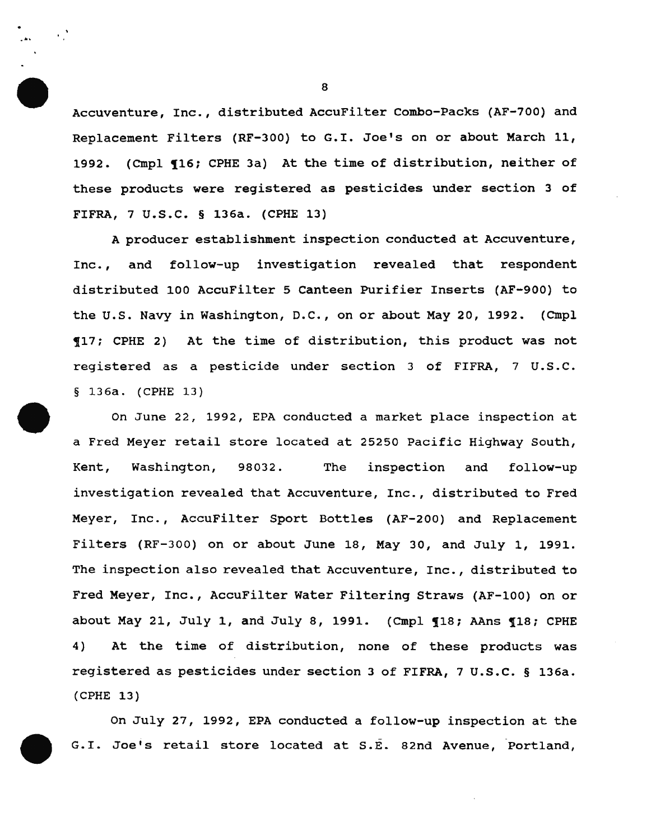Accuventure, Inc., distributed AccuFilter Combo-Packs (AF-700) and Replacement Filters (RF-300) to G.I. Joe's on or about March 11, 1992. (Cmpl 116; CPHE 3a) At the time of distribution, neither of these products were registered as pesticides under section 3 of FIFRA, 7 U.S.C. § 136a. (CPHE 13)

A producer establishment inspection conducted at Accuventure, Inc., and follow-up investigation revealed that respondent distributed 100 AccuFilter 5 Canteen Purifier Inserts (AF-900) to the u.s. Navy in Washington, D.C., on or about May 20, 1992. (Cmpl !17; CPHE 2) At the time of distribution, this product was not registered as a pesticide under section 3 of FIFRA, 7 U.S.C.  $§ 136a. (CPHE 13)$ 

On June 22, 1992, EPA conducted a market place inspection at a Fred Meyer retail store located at 25250 Pacific Highway South, Kent, Washington, 98032. The inspection and follow-up investigation revealed that Accuventure, Inc., distributed to Fred Meyer, Inc., AccuFilter Sport Bottles (AF-200) and Replacement Filters (RF-300) on or about June 18, May 30, and July 1, 1991. The inspection also revealed that Accuventure, Inc., distributed to Fred Meyer, Inc., AccuFilter Water Filtering Straws (AF-100) on or about May 21, July 1, and July 8, 1991. (Cmpl  $\P$ 18; AAns  $\P$ 18; CPHE 4) At the time of distribution, none of these products was registered as pesticides under section 3 of FIFRA, 7 u.s.c. § 136a. (CPHE 13)

On July 27, 1992, EPA conducted a follow-up inspection at the G.I. Joeis retail store located at S.E. 82nd Avenue, Portland,

8

....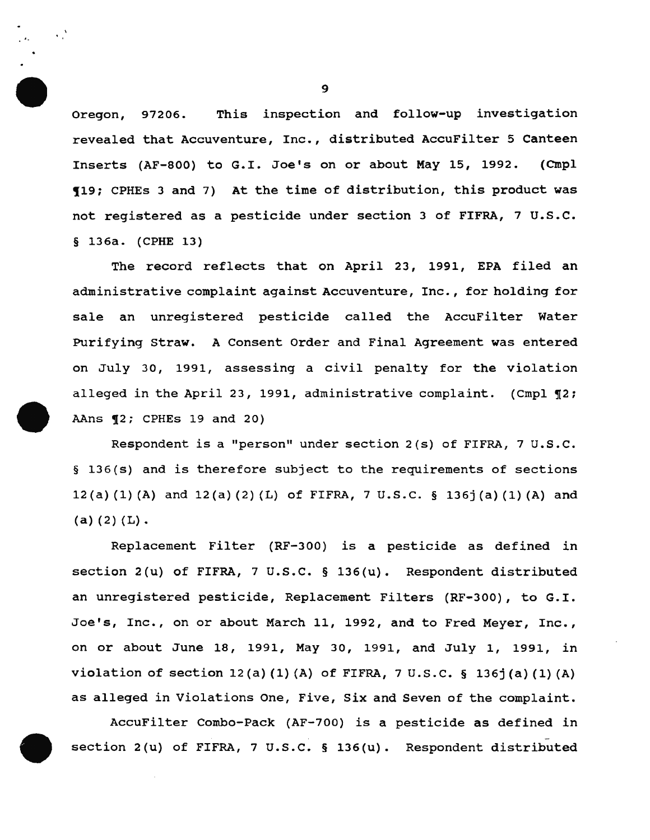Oregon, 97206. This inspection and follow-up investigation revealed that Accuventure, Inc., distributed AccuFilter 5 Canteen Inserts (AF-800) to G.I. Joe's on or about May 15, 1992. (Cmpl !19; CPHEs 3 and 7) At the time of distribution, this product was not registered as a pesticide under section 3 of FIFRA, 7 u.s.c. § 136a. (CPHE 13)

The record reflects that on April 23, 1991, EPA filed an administrative complaint against Accuventure, Inc., for holding for sale an unregistered pesticide called the AccuFilter Water Purifying Straw. A Consent Order and Final Agreement was entered on July 30, 1991, assessing a civil penalty for the violation alleged in the April 23, 1991, administrative complaint. (Cmpl  $\P$ 2; AAns  $\P2$ ; CPHEs 19 and 20)

Respondent is a "person" under section 2(s) of FIFRA, 7 U.S.C. § 136(s) and is therefore subject to the requirements of sections 12(a) (1) (A) and 12(a) (2) (L) of FIFRA, 7 u.s.c. § 136j (a) (1) (A) and (a) (2) (L).

Replacement Filter (RF-300) is a pesticide as defined in section 2(u) of FIFRA, 7 u.s.c. § 136(u). Respondent distributed an unregistered pesticide, Replacement Filters (RF-300), to G.I. Joe's, Inc., on or about March 11, 1992, and to Fred Meyer, Inc., on or about June 18, 1991, May 30, 1991, and July 1, 1991, in violation of section 12 (a) (1) (A) of FIFRA, 7 u.s.c. § 136j (a) (1) (A} as alleged in Violations One, Five, six and Seven of the complaint.

AccuFilter Combo-Pack (AF-700) is a pesticide as defined in section 2(u) of FIFRA, 7 U.S.C. § 136(u). Respondent distributed

9

 $\mathcal{L}^{\mathcal{A}}$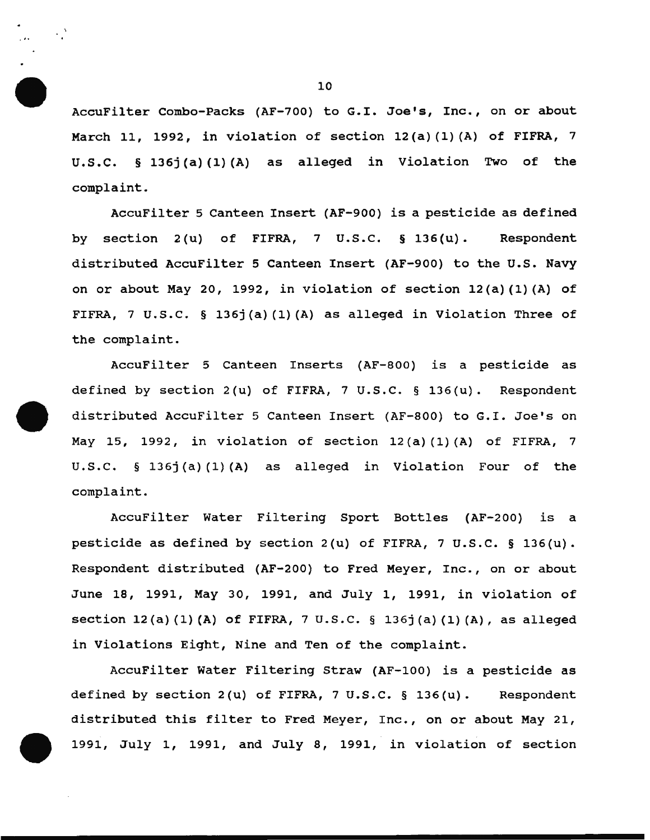AccuFilter Combo-Packs (AF-700) to G.I. Joe's, Inc., on or about March 11, 1992, in violation of section 12(a) (1) (A) of FIFRA, 7 u.s.c. § 136j(a) (1) (A) as alleged in Violation Two of the complaint.

AccuFilter 5 Canteen Insert (AF-900) is a pesticide as defined by section 2(u) of FIFRA, 7 u.s.c. § 136(u). Respondent distributed AccuFilter 5 Canteen Insert (AF-900) to the U.S. Navy on or about May 20, 1992, in violation of section  $12(a)(1)(A)$  of FIFRA, 7 u.s.c. § 136j(a) (1) (A) as alleged in Violation Three of the complaint.

AccuFilter 5 Canteen Inserts (AF-800) is a pesticide as defined by section  $2(u)$  of FIFRA, 7 U.S.C. § 136(u). Respondent distributed AccuFilter 5 Canteen Insert (AF-800) to G.I. Joe's on May 15, 1992, in violation of section 12 (a) (1) (A) of FIFRA, 7 u.s.c. § 136j(a) (1) (A) as alleged in Violation Four of the complaint.

AccuFilter Water Filtering Sport Bottles (AF-200) is a pesticide as defined by section  $2(u)$  of FIFRA, 7 U.S.C. § 136(u). Respondent distributed (AF-200) to Fred Meyer, Inc., on or about June 18, 1991, May 30, 1991, and July 1, 1991, in violation of section 12(a) (1) (A) of FIFRA, 7 u.s.c. § 136j(a) (1) (A), as alleged in Violations Eight, Nine and Ten of the complaint.

AccuFilter Water Filtering Straw (AF-100) is a pesticide as defined by section 2(u) of FIFRA, 7 U.S.C. § 136(u). Respondent distributed this filter to Fred Meyer, Inc., on or about May 21, 1991, July 1, 1991, and July 8, 1991, in violation of section

 $\cdot$  )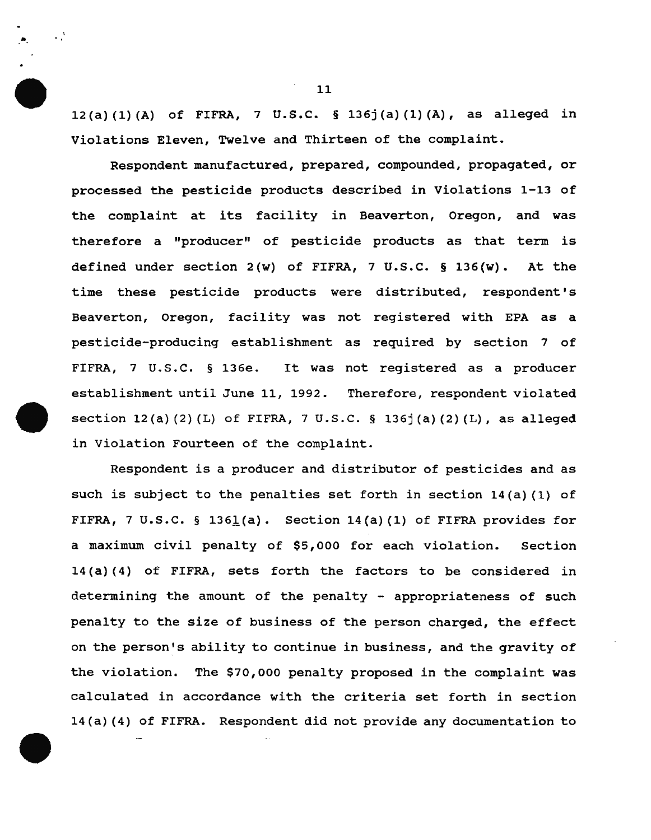12(a) (1) (A) of FIFRA, 7 u.s.c. § 136j (a) (1) (A), as alleged in Violations Eleven, Twelve and Thirteen of the complaint.

Respondent manufactured, prepared, compounded, propagated, or processed the pesticide products described in Violations 1-13 of the complaint at its facility in Beaverton, Oregon, and was therefore a "producer" of pesticide products as that term is defined under section 2(w) of FIFRA, 7 u.s.c. § 136(w). At the time these pesticide products were distributed, respondent's Beaverton, Oregon, facility was not registered with EPA as a pesticide-producing establishment as required by section 7 of FIFRA, 7 U.S.C. § 136e. It was not registered as a producer establishment until June 11, 1992. Therefore, respondent violated section  $12(a)(2)(L)$  of FIFRA, 7 U.S.C. § 136 $(2)(L)$ , as alleged in Violation Fourteen of the complaint.

Respondent is a producer and distributor of pesticides and as such is subject to the penalties set forth in section 14(a) (1) of FIFRA, 7 U.S.C. § 1361(a). Section  $14(a)$  (1) of FIFRA provides for a maximum civil penalty of \$5,000 for each violation. Section 14 (a) ( 4) of FIFRA, sets forth the factors to be considered in determining the amount of the penalty - appropriateness of such penalty to the size of business of the person charged, the effect on the person's ability to continue in business, and the gravity of the violation. The \$70,000 penalty proposed in the complaint was calculated in accordance with the criteria set forth in section 14 (a) (4) of FIFRA. Respondent did not provide any documentation to

•

 $\cdot$   $\cdot$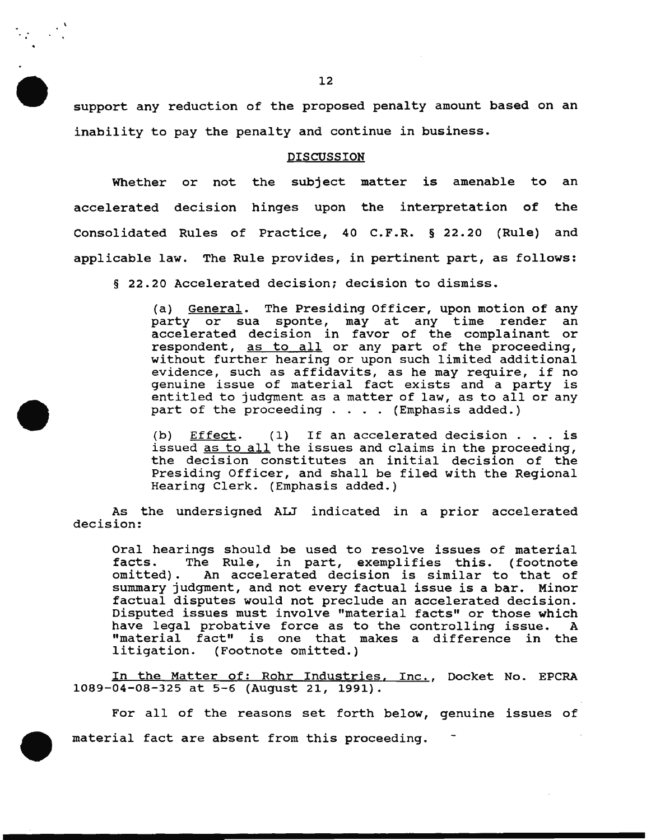support any reduction of the proposed penalty amount based on an inability to pay the penalty and continue in business.

#### DISCUSSION

Whether or not the subject matter is amenable to an accelerated decision hinges upon the interpretation of the Consolidated Rules of Practice, 40 C.F.R. § 22.20 (Rule) and applicable law. The Rule provides, in pertinent part, as follows:

§ 22.20 Accelerated decision; decision to dismiss.

(a) <u>General</u>. The Presiding Officer, upon motion of any<br>party or sua sponte, may at any time render an party or sua sponte, may at any time render accelerated decision in favor of the complainant or respondent, as to all or any part of the proceeding, without further hearing or upon such limited additional evidence, such as affidavits, as he may require, if no genuine issue of material fact exists and a party is genuine issue of material fact exists and a party is<br>entitled to judgment as a matter of law, as to all or any<br>part of the proceeding . . . . (Emphasis added.)

(b) Effect. (1) If an accelerated decision . . . is issued as to all the issues and claims in the proceeding, the decision constitutes an initial decision of the Presiding Officer, and shall be filed with the Regional Hearing Clerk. (Emphasis added.)

As the undersigned ALJ indicated in a prior accelerated decision:

Oral hearings should be used to resolve issues of material facts. The Rule, in part, exemplifies this. (footnote facts. The Rule, in part, exemplifies this. (footnote An accelerated decision is similar to that of summary judgment, and not every factual issue is a bar. Minor factual disputes would not preclude an accelerated decision. Disputed issues must involve "material facts" or those which have legal probative force as to the controlling issue. A "material fact" is one that makes a difference in the<br>litigation. (Footnote omitted.) (Footnote omitted.)

In the Matter of: Rohr Industries, Inc., Docket No. EPCRA 1089-04-08-325 at 5-6 (August 21, 1991).

For all of the reasons set forth below, genuine issues of material fact are absent from this proceeding.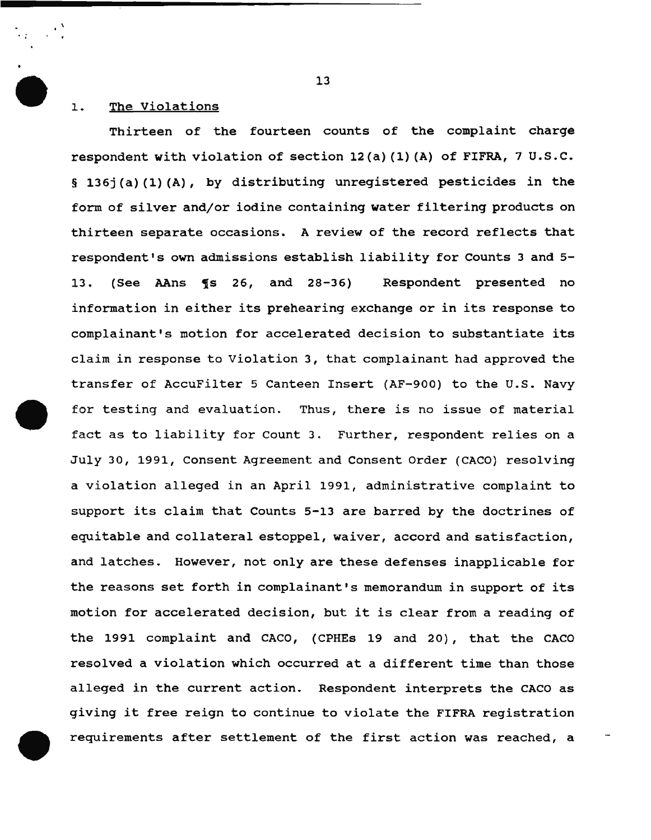### 1. The Violations

 $'$  '

Thirteen of the fourteen counts of the complaint charge respondent with violation of section 12(a) (1) (A) of FIFRA, 7 U.S.C. § 136j(a)(1)(A), by distributing unregistered pesticides in the form of silver and/or iodine containing water filtering products on thirteen separate occasions. A review of the record reflects that respondent's own admissions establish liability for Counts 3 and 5- 13. (See AAns ¶s 26, and 28-36) Respondent presented no information in either its prehearing exchange or in its response to complainant's motion for accelerated decision to substantiate its claim in response to Violation 3, that complainant had approved the transfer of AccuFilter 5 Canteen Insert (AF-900) to the U.S. Navy for testing and evaluation. Thus, there is no issue of material fact as to liability for Count 3. Further, respondent relies on a July 30, 1991, Consent Agreement and Consent Order (CACO) resolving a violation alleged in an April 1991, administrative complaint to support its claim that Counts 5-13 are barred by the doctrines of equitable and collateral estoppel, waiver, accord and satisfaction, and latches. However, not only are these defenses inapplicable for the reasons set forth in complainant's memorandum in support of its motion for accelerated decision, but it is clear from a reading of the 1991 complaint and CACO, (CPHEs 19 and 20), that the CACO resolved a violation which occurred at a different time than those alleged in the current action. Respondent interprets the CACO as giving it free reign to continue to violate the FIFRA registration requirements after settlement of the first action was reached, a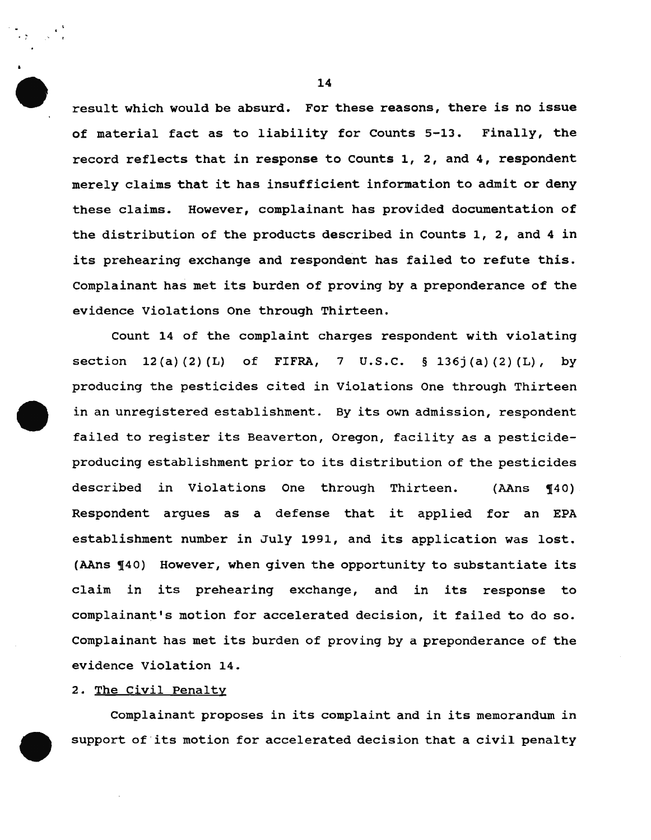result which would be absurd. For these reasons, there is no issue of material fact as to liability for Counts 5-13. Finally, the record reflects that in response to counts 1, 2, and 4, respondent merely claims that it has insufficient information to admit or deny these claims. However, complainant has provided documentation of the distribution of the products described in Counts 1, 2, and 4 in its prehearing exchange and respondent has failed to refute this. Complainant has met its burden of proving by a preponderance of the evidence Violations One through Thirteen.

Count 14 of the complaint charges respondent with violating section 12(a)(2)(L) of FIFRA, 7 U.S.C. § 136j(a)(2)(L), by producing the pesticides cited in Violations One through Thirteen in an unregistered establishment. By its own admission, respondent failed to register its Beaverton, Oregon, facility as a pesticideproducing establishment prior to its distribution of the pesticides described in Violations One through Thirteen. (AAns ¶40) Respondent argues as a defense that it applied for an EPA establishment number in July 1991, and its application was lost. (AAns 140) However, when given the opportunity to substantiate its claim in its prehearing exchange, and in its response to complainant's motion for accelerated decision, it failed to do so. Complainant has met its burden of proving by a preponderance of the evidence Violation 14.

# 2. The Civil Penalty

Complainant proposes in its complaint and in its memorandum in support of its motion for accelerated decision that a civil penalty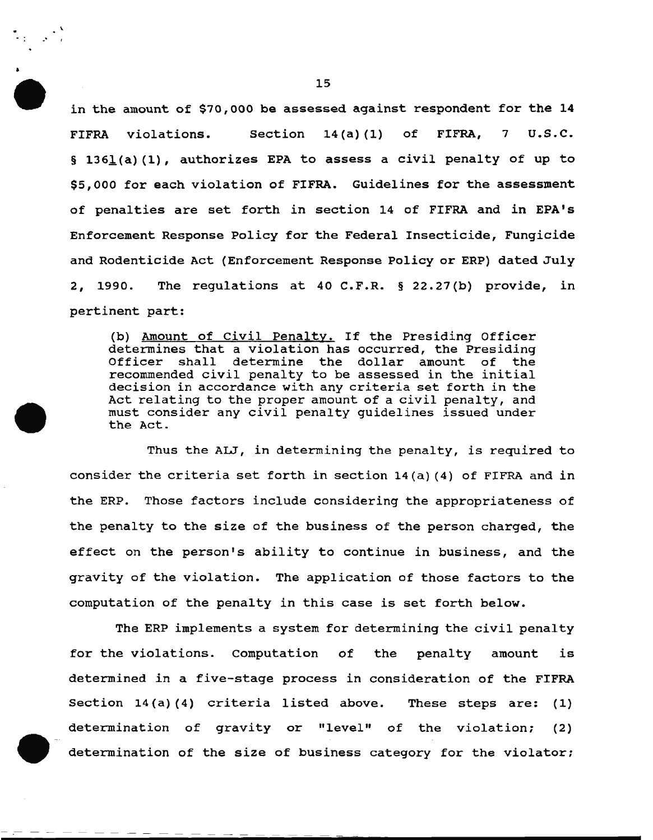in the amount of \$70,000 be assessed against respondent for the 14 FIFRA violations. Section 14(a) (1) of FIFRA, 7 u.s.c. § 1361(a)(1), authorizes EPA to assess a civil penalty of up to \$5,000 for each violation of FIFRA. Guidelines for the assessment of penalties are set forth in section 14 of FIFRA and in EPA's Enforcement Response Policy for the Federal Insecticide, Fungicide and Rodenticide Act (Enforcement Response Policy or ERP) dated July 2, 1990. The regulations at 40 C.F.R. § 22.27(b) provide, in pertinent part:

(b) Amount of Civil Penalty. If the Presiding Officer determines that a violation has occurred, the Presiding Officer shall determine the dollar amount of the recommended civil penalty to be assessed in the initial decision in accordance with any criteria set forth in the Act relating to the proper amount of a civil penalty, and must consider any civil penalty guidelines issued under the Act.

Thus the ALJ, in determining the penalty, is required to consider the criteria set forth in section 14(a) (4) of FIFRA and in the ERP. Those factors include considering the appropriateness of the penalty to the size of the business of the person charged, the effect on the person's ability to continue in business, and the gravity of the violation. The application of those factors to the computation of the penalty in this case is set forth below.

The ERP implements a system for determining the civil penalty for the violations. Computation of the penalty amount is determined in a five-stage process in consideration of the FIFRA Section 14(a)(4) criteria listed above. These steps are: (1) determination of gravity or "level" of the violation: (2) determination of the size of business category for the violator;

.•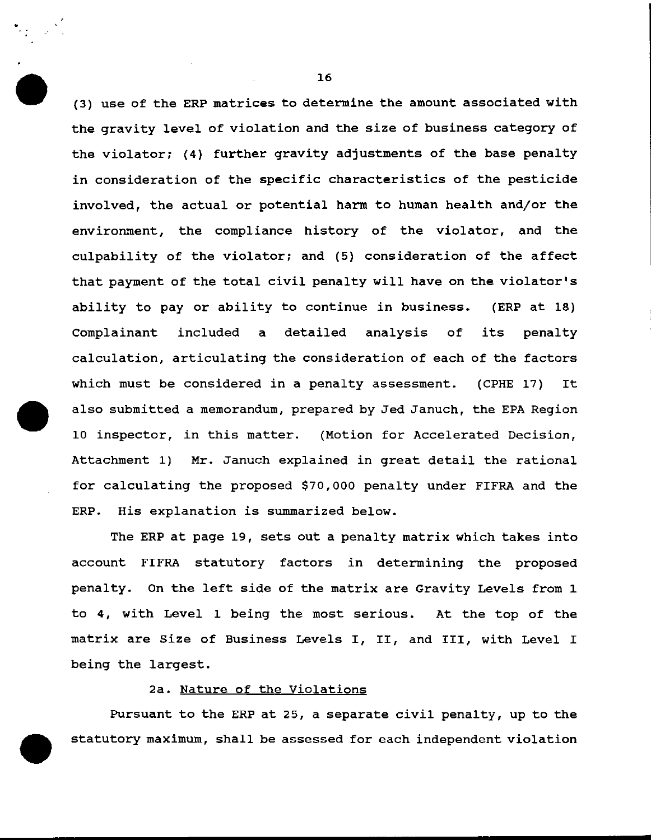(3) use of the ERP matrices to determine the amount associated with the gravity level of violation and the size of business category of the violator; (4) further gravity adjustments of the base penalty in consideration of the specific characteristics of the pesticide involved, the actual or potential harm to human health and/or the environment, the compliance history of the violator, and the culpability of the violator; and (5) consideration of the affect that payment of the total civil penalty will have on the violator's ability to pay or ability to continue in business. (ERP at 18} Complainant included a detailed analysis of its penalty calculation, articulating the consideration of each of the factors which must be considered in a penalty assessment. (CPHE 17) It also submitted a memorandum, prepared by Jed Januch, the EPA Region 10 inspector, in this matter. (Motion for Accelerated Decision, Attachment 1) Mr. Januch explained in great detail the rational for calculating the proposed \$70,000 penalty under FIFRA and the ERP. His explanation is summarized below.

The ERP at page 19, sets out a penalty matrix which takes into account FIFRA statutory factors in determining the proposed penalty. On the left side of the matrix are Gravity Levels from 1 to 4, with Level 1 being the most serious. At the top of the matrix are Size of Business Levels I, II, and III, with Level I being the largest.

### 2a. Nature of the Violations

Pursuant to the ERP at 25, a separate civil penalty, up to the statutory maximum, shall be assessed for each independent violation

16

..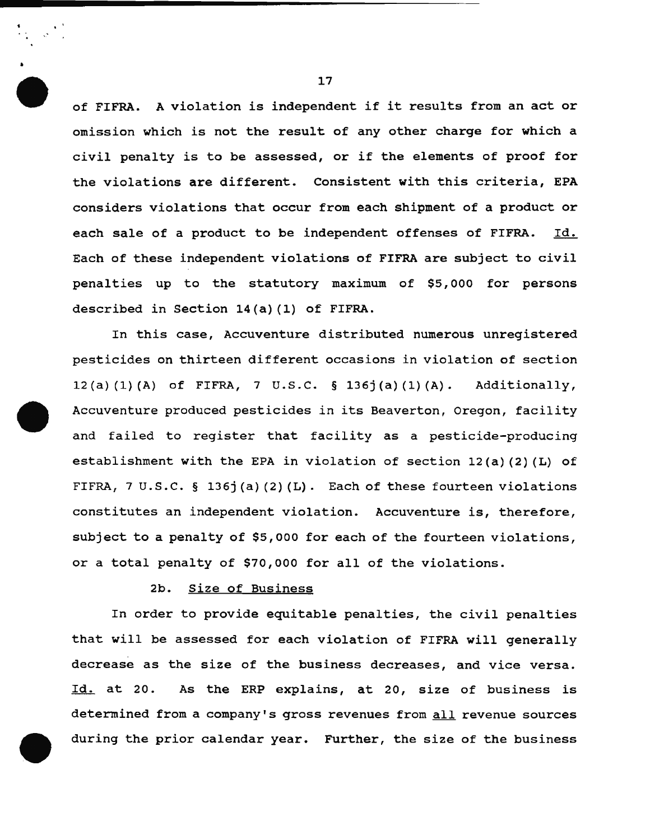of FIFRA. A violation is independent if it results from an act or omission which is not the result of any other charge for which a civil penalty is to be assessed, or if the elements of proof for the violations are different. Consistent with this criteria, EPA considers violations that occur from each shipment of a product or each sale of a product to be independent offenses of FIFRA. Id. Each of these independent violations of FIFRA are subject to civil penalties up to the statutory maximum of \$5,000 for persons described in Section 14(a) (1) of FIFRA.

In this case, Accuventure distributed numerous unregistered pesticides on thirteen different occasions in violation of section 12(a)(l)(A) of FIFRA, 7 U.S.C. § 136j(a)(l)(A). Additionally, Accuventure produced pesticides in its Beaverton, Oregon, facility and failed to register that facility as a pesticide-producing establishment with the EPA in violation of section 12(a) (2) (L) of FIFRA, 7 U.S.C. § 136j(a)(2)(L). Each of these fourteen violations constitutes an independent violation. Accuventure is, therefore, subject to a penalty of \$5,000 for each of the fourteen violations, or a total penalty of \$70,000 for all of the violations.

## 2b. Size of Business

In order to provide equitable penalties, the civil penalties that will be assessed for each violation of FIFRA will generally decrease as the size of the business decreases, and vice versa. Id. at 20. As the ERP explains, at 20, size of business is determined from a company's gross revenues from all revenue sources during the prior calendar year. Further, the size of the business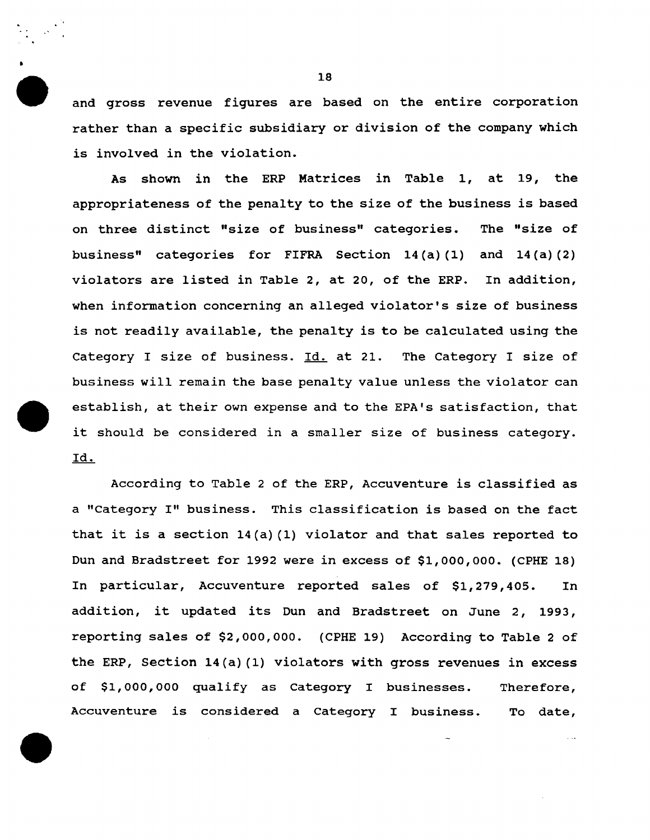and gross revenue figures are based on the entire corporation rather than a specific subsidiary or division of the company which is involved in the violation.

As shown in the ERP Matrices in Table 1, at 19, the appropriateness of the penalty to the size of the business is based on three distinct "size of business" categories. The "size of business" categories for FIFRA Section 14 (a) (1) and 14 (a) (2) violators are listed in Table 2, at 20, of the ERP. In addition, when information concerning an alleged violator's size of business is not readily available, the penalty is to be calculated using the Category I size of business. Id. at 21. The Category I size of business will remain the base penalty value unless the violator can establish, at their own expense and to the EPA's satisfaction, that it should be considered in a smaller size of business category. Id.

According to Table 2 of the ERP, Accuventure is classified as a "Category I" business. This classification is based on the fact that it is a section 14(a) (1) violator and that sales reported to Dun and Bradstreet for 1992 were in excess of \$1,000,000. (CPHE 18) In particular, Accuventure reported sales of \$1,279,405. In addition, it updated its Dun and Bradstreet on June 2, 1993, reporting sales of \$2,000,000. (CPHE 19) According to Table 2 of the ERP, Section 14(a) (1) violators with gross revenues in excess of \$1,000, ooo qualify as Category I businesses. Therefore, Accuventure is considered a Category I business. To date,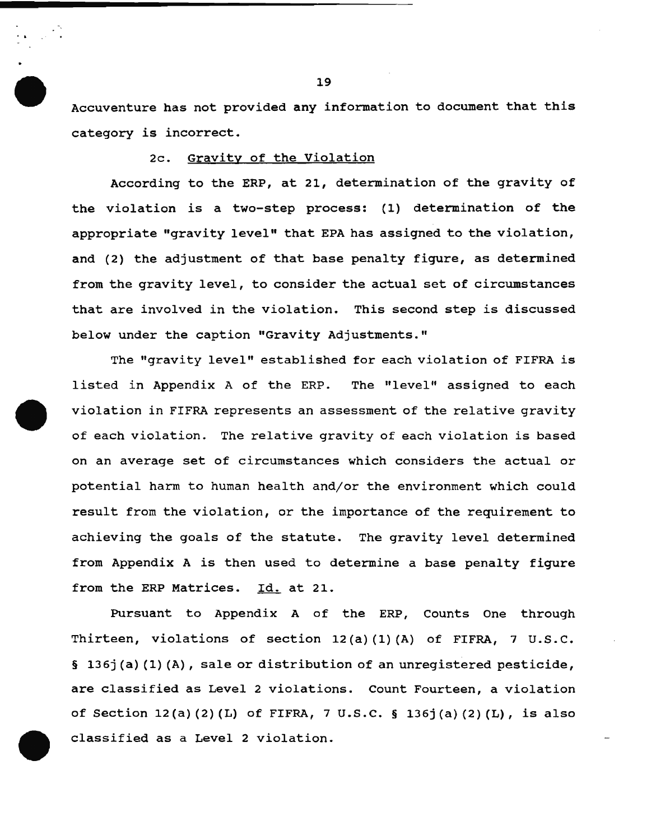Accuventure has not provided any information to document that this category is incorrect.

## 2c. Gravity of the Violation

According to the ERP, at 21, determination of the gravity of the violation is a two-step process: (1) determination of the appropriate "gravity level" that EPA has assigned to the violation, and (2) the adjustment of that base penalty figure, as determined from the gravity level, to consider the actual set of circumstances that are involved in the violation. This second step is discussed below under the caption "Gravity Adjustments."

The "gravity level" established for each violation of FIFRA is listed in Appendix A of the ERP. The "level" assigned to each violation in FIFRA represents an assessment of the relative gravity of each violation. The relative gravity of each violation is based on an average set of circumstances which considers the actual or potential harm to human health and/or the environment which could result from the violation, or the importance of the requirement to achieving the goals of the statute. The gravity level determined from Appendix A is then used to determine a base penalty figure from the ERP Matrices. Id. at 21.

Pursuant to Appendix A of the ERP, counts One through Thirteen, violations of section 12(a)(1)(A) of FIFRA, 7 U.S.C. § 136j (a) (1) (A), sale or distribution of an unregistered pesticide, are classified as Level 2 violations. Count Fourteen, a violation of Section 12(a) (2) (L) of FIFRA, 7 u.s.c. § 136j(a) (2) (L), is also classified as a Level 2 violation.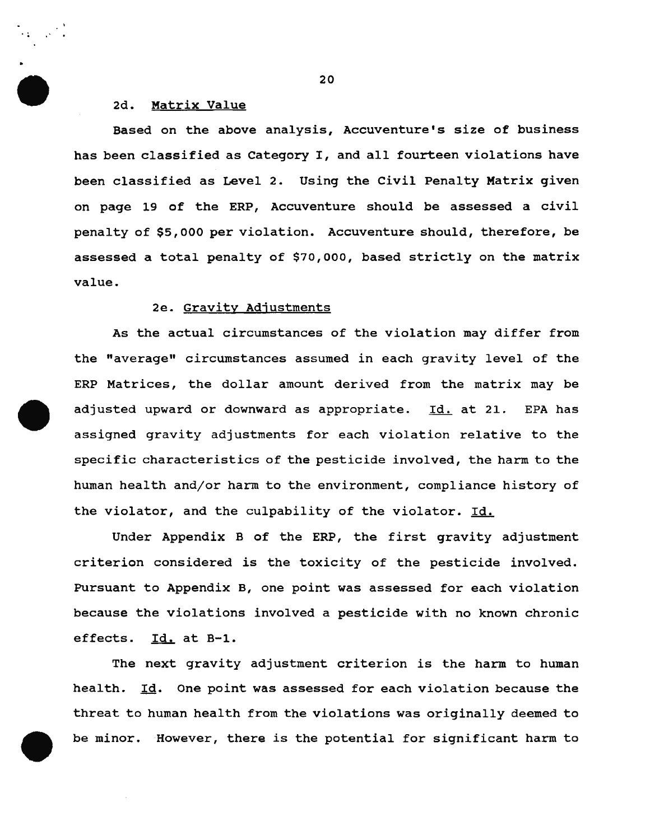# 2d. Matrix Value

Based on the above analysis, Accuventure's size of business has been classified as Category I, and all fourteen violations have been classified as Level 2. Using the Civil Penalty Matrix given on page 19 of the ERP, Accuventure should be assessed a civil penalty of \$5,000 per violation. Accuventure should, therefore, be assessed a total penalty of \$70,000, based strictly on the matrix value.

# 2e. Gravity Adjustments

As the actual circumstances of the violation may differ from the "average" circumstances assumed in each gravity level of the ERP Matrices, the dollar amount derived from the matrix may be adjusted upward or downward as appropriate. Id. at 21. EPA has assigned gravity adjustments for each violation relative to the specific characteristics of the pesticide involved, the harm to the human health and/or harm to the environment, compliance history of the violator, and the culpability of the violator. Id.

Under Appendix B of the ERP, the first gravity adjustment criterion considered is the toxicity of the pesticide involved. Pursuant to Appendix B, one point was assessed for each violation because the violations involved a pesticide with no known chronic effects. Id. at B-1.

The next gravity adjustment criterion is the harm to human health. Id. One point was assessed for each violation because the threat to human health from the violations was originally deemed to be minor. However, there is the potential for significant harm to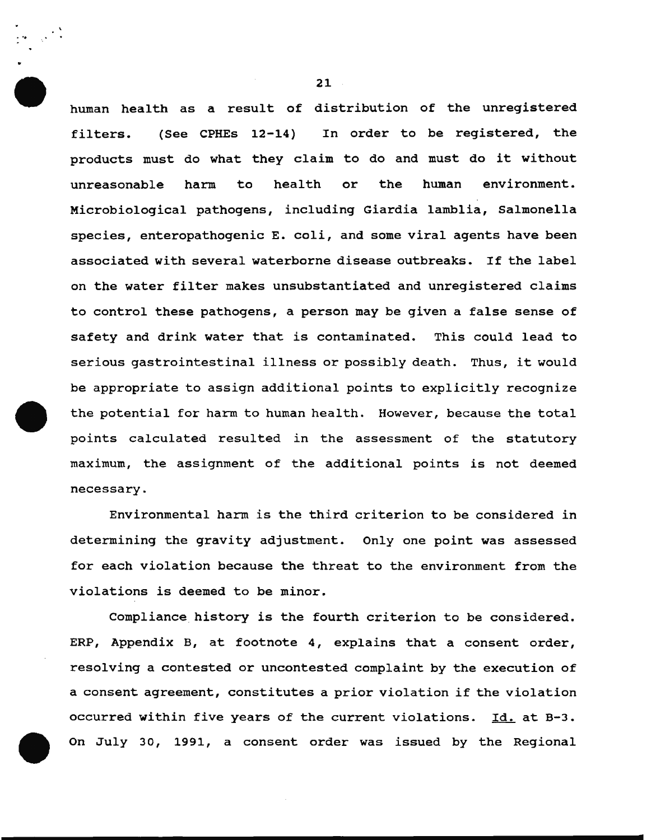human health as a result of distribution of the unregistered filters. (See CPHEs 12-14) In order to be registered, the products must do what they claim to do and must do it without unreasonable harm to health or the human environment. Microbiological pathogens, including Giardia lamblia, Salmonella species, enteropathogenic E. coli, and some viral agents have been associated with several waterborne disease outbreaks. If the label on the water filter makes unsubstantiated and unregistered claims to control these pathogens, a person may be given a false sense of safety and drink water that is contaminated. This could lead to serious gastrointestinal illness or possibly death. Thus, it would be appropriate to assign additional points to explicitly recognize the potential for harm to human health. However, because the total points calculated resulted in the assessment of the statutory maximum, the assignment of the additional points is not deemed necessary.

Environmental harm is the third criterion to be considered in determining the gravity adjustment. Only one point was assessed for each violation because the threat to the environment from the violations is deemed to be minor.

Compliance history is the fourth criterion to be considered. ERP, Appendix B, at footnote 4, explains that a consent order, resolving a contested or uncontested complaint by the execution of a consent agreement, constitutes a prior violation if the violation occurred within five years of the current violations. Id. at B-3. On July 30, 1991, a consent order was issued by the Regional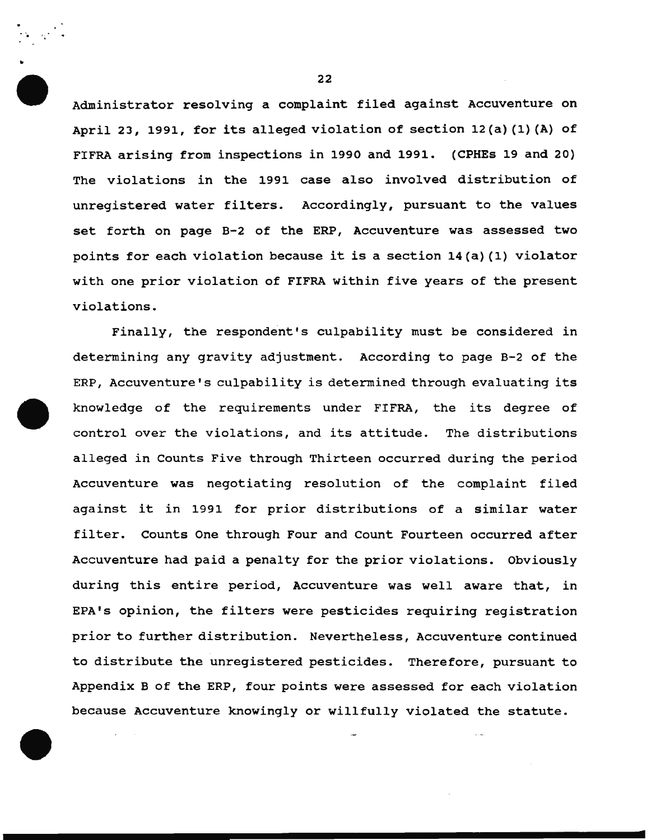Administrator resolving a complaint filed against Accuventure on April 23, 1991, for its alleged violation of section 12(a) (1) (A) of FIFRA arising from inspections in 1990 and 1991. (CPHEs 19 and 20) The violations in the 1991 case also involved distribution of unregistered water filters. Accordingly, pursuant to the values set forth on page B-2 of the ERP, Accuventure was assessed two points for each violation because it is a section 14(a) (1) violator with one prior violation of FIFRA within five years of the present violations.

Finally, the respondent's culpability must be considered in determining any gravity adjustment. According to page B-2 of the ERP, Accuventure's culpability is determined through evaluating its knowledge of the requirements under FIFRA, the its degree of control over the violations, and its attitude. The distributions alleged in Counts Five through Thirteen occurred during the period Accuventure was negotiating resolution of the complaint filed against it in 1991 for prior distributions of a similar water filter. Counts One through Four and Count Fourteen occurred after Accuventure had paid a penalty for the prior violations. Obviously during this entire period, Accuventure was well aware that, in EPA's opinion, the filters were pesticides requiring registration prior to further distribution. Nevertheless, Accuventure continued to distribute the unregistered pesticides. Therefore, pursuant to Appendix B of the ERP, four points were assessed for each violation because Accuventure knowingly or willfully violated the statute.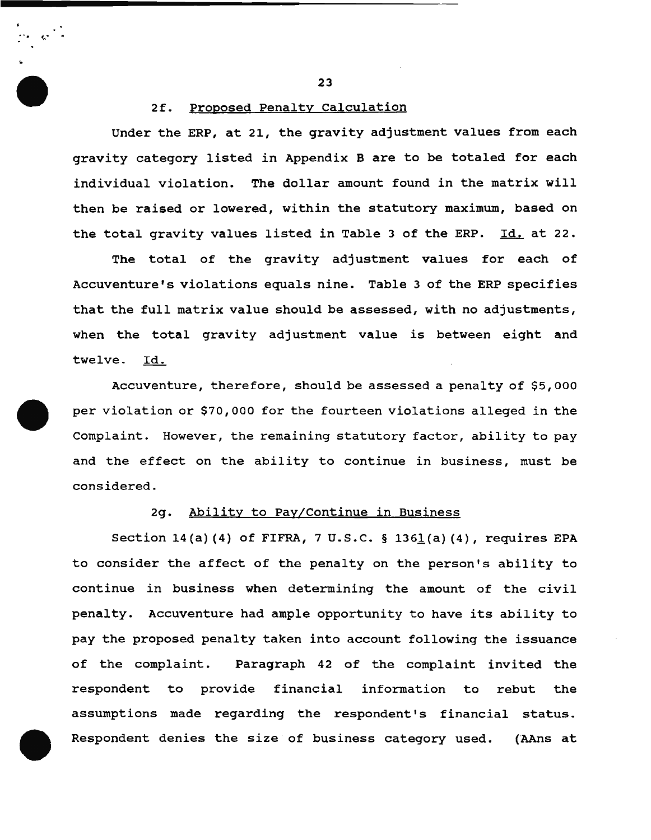2f. Proposed Penalty Calculation

. . . ;"' .. ..

Under the ERP, at 21, the gravity adjustment values from each gravity category listed in Appendix B are to be totaled for each individual violation. The dollar amount found in the matrix will then be raised or lowered, within the statutory maximum, based on the total gravity values listed in Table 3 of the ERP. Id. at 22.

The total of the gravity adjustment values for each of Accuventure 's violations equals nine. Table 3 of the ERP specifies that the full matrix value should be assessed, with no adjustments, when the total gravity adjustment value is between eight and twelve. Id.

Accuventure, therefore, should be assessed a penalty of \$5,000 per violation or \$70,000 for the fourteen violations alleged in the complaint. However, the remaining statutory factor, ability to pay and the effect on the ability to continue in business, must be considered.

#### 2g. Ability to Pay/Continue in Business

Section 14(a) (4) of FIFRA, 7 U.S.C. § 1361(a) (4), requires EPA to consider the affect of the penalty on the person's ability to continue in business when determining the amount of the civil penalty. Accuventure had ample opportunity to have its ability to pay the proposed penalty taken into account following the issuance of the complaint. Paragraph 42 of the complaint invited the respondent to provide financial information to rebut the assumptions made regarding the respondent's financial status. Respondent denies the size of business category used. (AAns at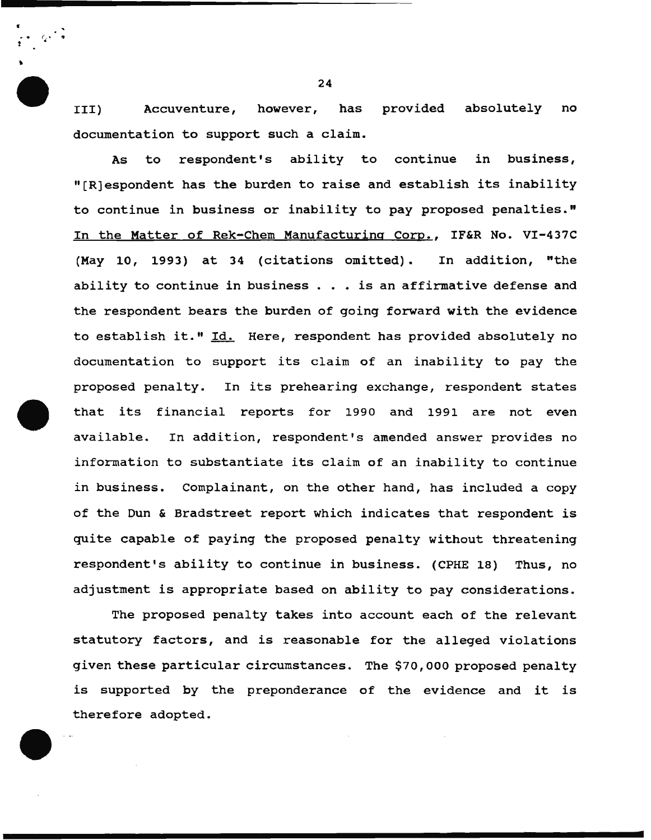III) Accuventure, however, has provided absolutely no documentation to support such a claim.

As to respondent's ability to continue in business, "[R)espondent has the burden to raise and establish its inability to continue in business or inability to pay proposed penalties." In the Matter of Rek-Chem Manufacturing Corp., IF&R No. VI-437C (May 10, 1993) at 34 (citations omitted). In addition, "the ability to continue in business  $\ldots$  is an affirmative defense and the respondent bears the burden of going forward with the evidence to establish it." Id. Here, respondent has provided absolutely no documentation to support its claim of an inability to pay the proposed penalty. In its prehearing exchange, respondent states that its financial reports for 1990 and 1991 are not even available. In addition, respondent's amended answer provides no information to substantiate its claim of an inability to continue in business. Complainant, on the other hand, has included a copy of the Dun & Bradstreet report which indicates that respondent is quite capable of paying the proposed penalty without threatening respondent's ability to continue in business. (CPHE 18) Thus, no adjustment is appropriate based on ability to pay considerations.

The proposed penalty takes into account each of the relevant statutory factors, and is reasonable for the alleged violations given these particular circumstances. The \$70, 000 proposed penalty is supported by the preponderance of the evidence and it is therefore adopted.

24

•

*:* 

'

• • (i. ~ •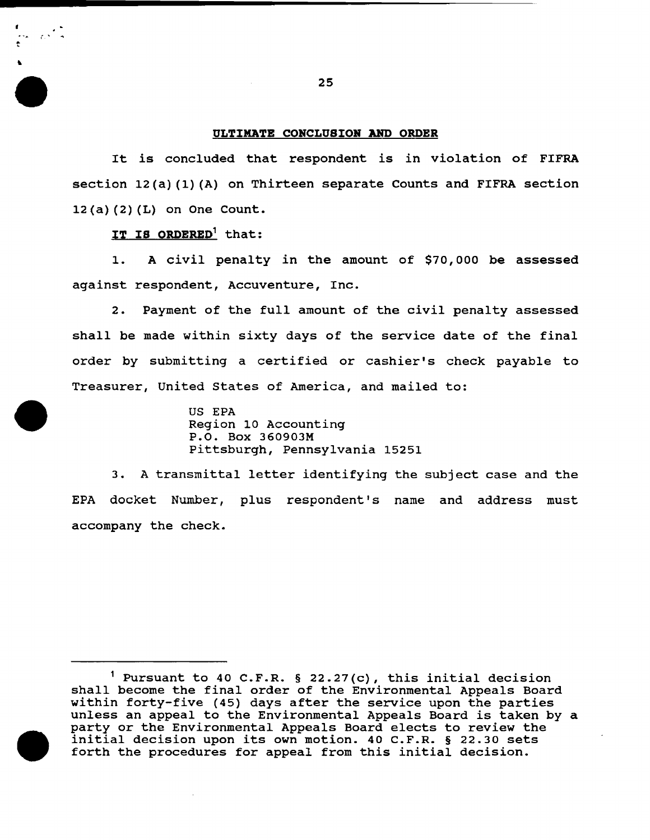### ULTIMATE CONCLUSION AND ORDER

It is concluded that respondent is in violation of FIFRA section 12(a) (1) (A) on Thirteen separate Counts and FIFRA section 12(a) (2) (L) on One Count.

IT IS ORDERED<sup>1</sup> that:

"

1. A civil penalty in the amount of \$70,000 be assessed against respondent, Accuventure, Inc.

2. Payment of the full amount of the civil penalty assessed shall be made within sixty days of the service date of the final order by submitting a certified or cashier's check payable to Treasurer, United States of America, and mailed to:

> US EPA Region 10 Accounting P.O. Box 360903M Pittsburgh, Pennsylvania 15251

3. A transmittal letter identifying the subject case and the EPA docket Number, plus respondent's name and address must accompany the check.

<sup>&</sup>lt;sup>1</sup> Pursuant to 40 C.F.R. § 22.27(c), this initial decision shall become the final order of the Environmental Appeals Board within forty-five (45) days after the service upon the parties unless an appeal to the Environmental Appeals Board is taken by a party or the Environmental Appeals Board elects to review the initial decision upon its own motion. 40 C.F.R. § 22.30 sets forth the procedures for appeal from this initial decision.